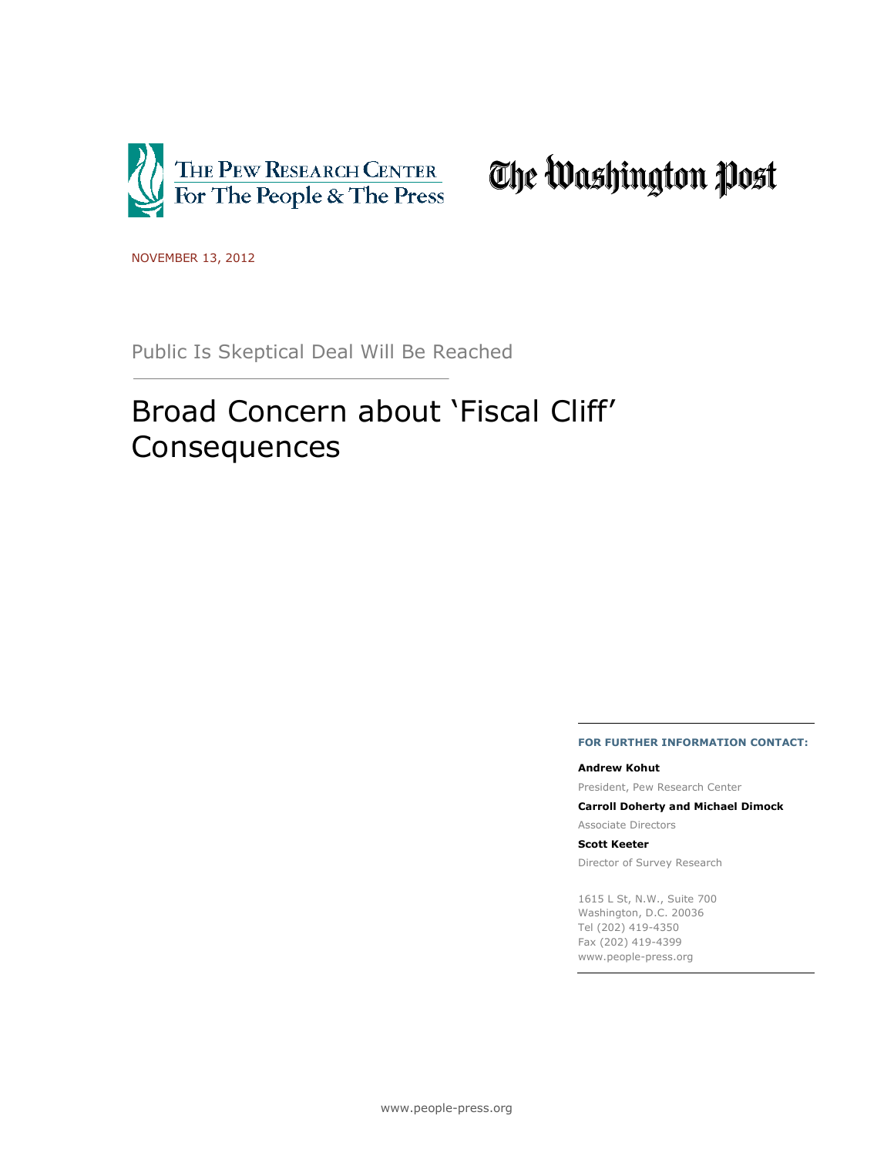

# The Washington Post

NOVEMBER 13, 2012

Public Is Skeptical Deal Will Be Reached

# Broad Concern about 'Fiscal Cliff' Consequences

#### **FOR FURTHER INFORMATION CONTACT:**

#### **Andrew Kohut**

President, Pew Research Center

**Carroll Doherty and Michael Dimock**

Associate Directors

#### **Scott Keeter**

Director of Survey Research

1615 L St, N.W., Suite 700 Washington, D.C. 20036 Tel (202) 419-4350 Fax (202) 419-4399 www.people-press.org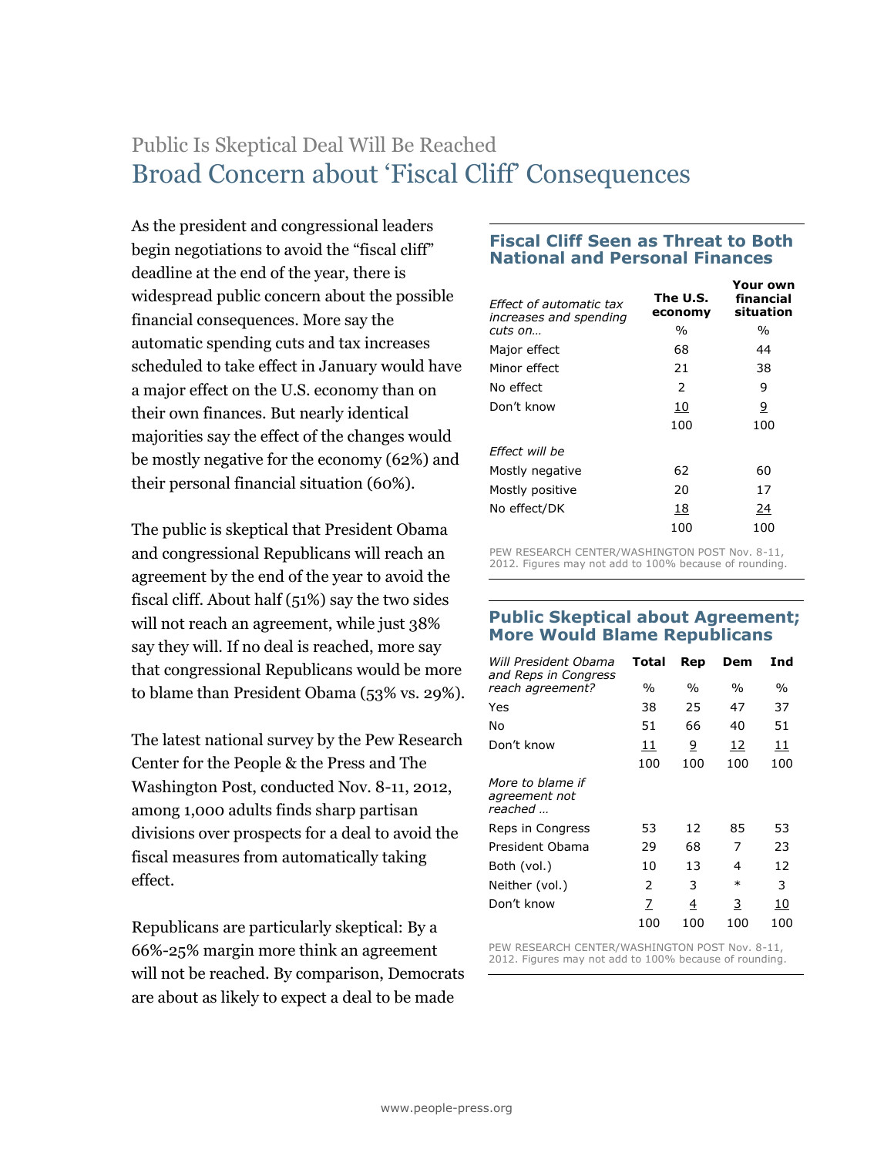# Public Is Skeptical Deal Will Be Reached Broad Concern about 'Fiscal Cliff' Consequences

As the president and congressional leaders begin negotiations to avoid the "fiscal cliff" deadline at the end of the year, there is widespread public concern about the possible financial consequences. More say the automatic spending cuts and tax increases scheduled to take effect in January would have a major effect on the U.S. economy than on their own finances. But nearly identical majorities say the effect of the changes would be mostly negative for the economy (62%) and their personal financial situation (60%).

The public is skeptical that President Obama and congressional Republicans will reach an agreement by the end of the year to avoid the fiscal cliff. About half (51%) say the two sides will not reach an agreement, while just 38% say they will. If no deal is reached, more say that congressional Republicans would be more to blame than President Obama (53% vs. 29%).

The latest national survey by the Pew Research Center for the People & the Press and The Washington Post, conducted Nov. 8-11, 2012, among 1,000 adults finds sharp partisan divisions over prospects for a deal to avoid the fiscal measures from automatically taking effect.

Republicans are particularly skeptical: By a 66%-25% margin more think an agreement will not be reached. By comparison, Democrats are about as likely to expect a deal to be made

### **Fiscal Cliff Seen as Threat to Both National and Personal Finances**

| Fffect of automatic tax<br>increases and spending | The U.S.<br>economy | Your own<br>financial<br>situation |
|---------------------------------------------------|---------------------|------------------------------------|
| cuts on                                           | $\frac{0}{0}$       | %                                  |
| Major effect                                      | 68                  | 44                                 |
| Minor effect                                      | 21                  | 38                                 |
| No effect                                         | $\mathcal{P}$       | 9                                  |
| Don't know                                        | 10                  | 9                                  |
|                                                   | 100                 | 100                                |
| Effect will be                                    |                     |                                    |
| Mostly negative                                   | 62                  | 60                                 |
| Mostly positive                                   | 20                  | 17                                 |
| No effect/DK                                      | 18                  | 24                                 |
|                                                   | 100                 | 100                                |

PEW RESEARCH CENTER/WASHINGTON POST Nov. 8-11, 2012. Figures may not add to 100% because of rounding.

#### **Public Skeptical about Agreement; More Would Blame Republicans**

| Will President Obama<br>and Reps in Congress | Total         | Rep            | Dem    | Ind  |
|----------------------------------------------|---------------|----------------|--------|------|
| reach agreement?                             | $\%$          | $\%$           | $\%$   | $\%$ |
| Yes                                          | 38            | 25             | 47     | 37   |
| No                                           | 51            | 66             | 40     | 51   |
| Don't know                                   | 11            | $\overline{9}$ | 12     | 11   |
|                                              | 100           | 100            | 100    | 100  |
| More to blame if<br>agreement not<br>reached |               |                |        |      |
| Reps in Congress                             | 53            | 12             | 85     | 53   |
| President Obama                              | 29            | 68             | 7      | 23   |
| Both (vol.)                                  | 10            | 13             | 4      | 12   |
| Neither (vol.)                               | $\mathcal{P}$ | 3              | $\ast$ | 3    |
| Don't know                                   | 7             | 4              | 3      | 10   |
|                                              | 100           | 100            | 100    | 100  |

PEW RESEARCH CENTER/WASHINGTON POST Nov. 8-11, 2012. Figures may not add to 100% because of rounding.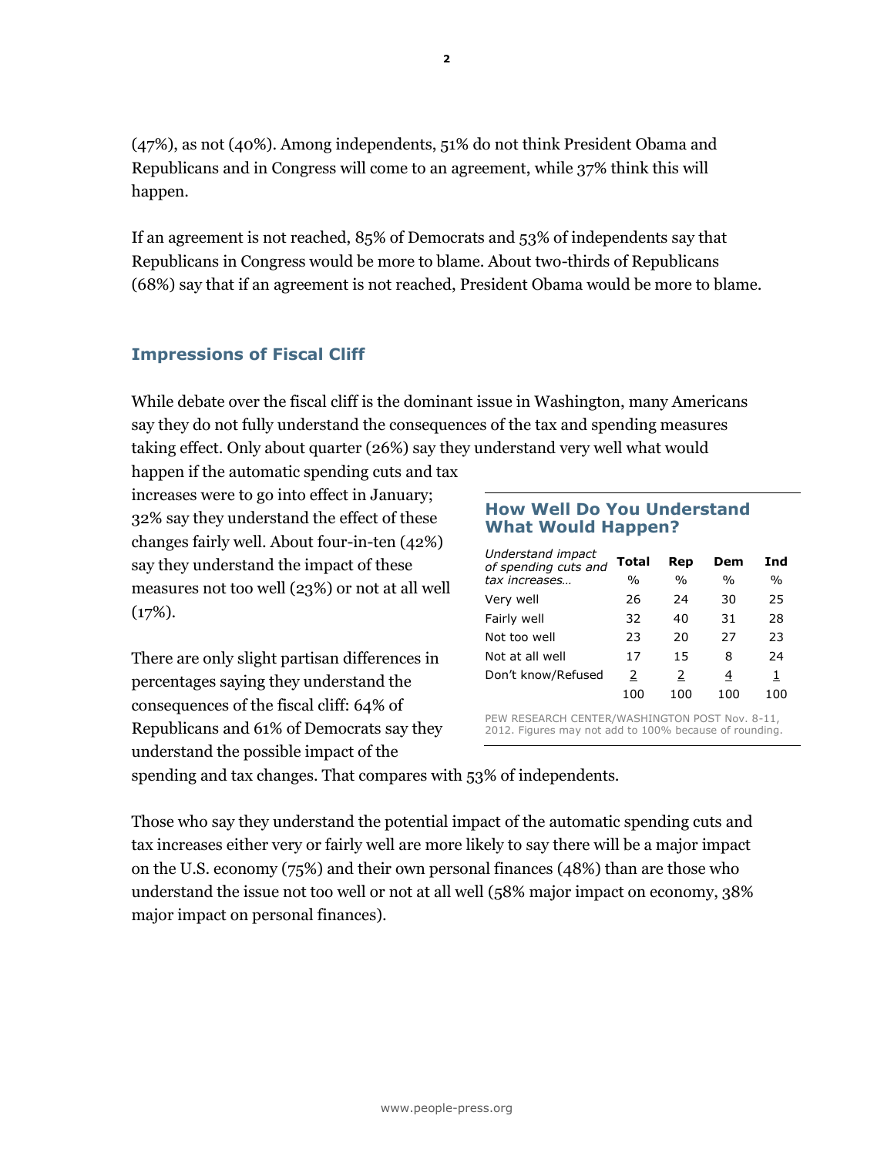(47%), as not (40%). Among independents, 51% do not think President Obama and Republicans and in Congress will come to an agreement, while 37% think this will happen.

If an agreement is not reached, 85% of Democrats and 53% of independents say that Republicans in Congress would be more to blame. About two-thirds of Republicans (68%) say that if an agreement is not reached, President Obama would be more to blame.

# **Impressions of Fiscal Cliff**

While debate over the fiscal cliff is the dominant issue in Washington, many Americans say they do not fully understand the consequences of the tax and spending measures taking effect. Only about quarter (26%) say they understand very well what would

happen if the automatic spending cuts and tax increases were to go into effect in January; 32% say they understand the effect of these changes fairly well. About four-in-ten (42%) say they understand the impact of these measures not too well (23%) or not at all well  $(17\%).$ 

There are only slight partisan differences in percentages saying they understand the consequences of the fiscal cliff: 64% of Republicans and 61% of Democrats say they understand the possible impact of the

### **How Well Do You Understand What Would Happen?**

| Understand impact<br>of spending cuts and | Total         | Rep           | Dem           | Ind           |
|-------------------------------------------|---------------|---------------|---------------|---------------|
| tax increases                             | $\frac{0}{0}$ | $\frac{0}{0}$ | $\frac{0}{0}$ | $\frac{0}{0}$ |
| Very well                                 | 26            | 24            | 30            | 25            |
| Fairly well                               | 32.           | 40            | 31            | 28            |
| Not too well                              | 23            | 20            | 27            | 23            |
| Not at all well                           | 17            | 15            | 8             | 24            |
| Don't know/Refused                        | 2             | 2             | 4             | 1             |
|                                           | 100           | 100           | 100           | 100           |
|                                           |               |               |               |               |

PEW RESEARCH CENTER/WASHINGTON POST Nov. 8-11, 2012. Figures may not add to 100% because of rounding.

spending and tax changes. That compares with 53% of independents.

Those who say they understand the potential impact of the automatic spending cuts and tax increases either very or fairly well are more likely to say there will be a major impact on the U.S. economy (75%) and their own personal finances (48%) than are those who understand the issue not too well or not at all well (58% major impact on economy, 38% major impact on personal finances).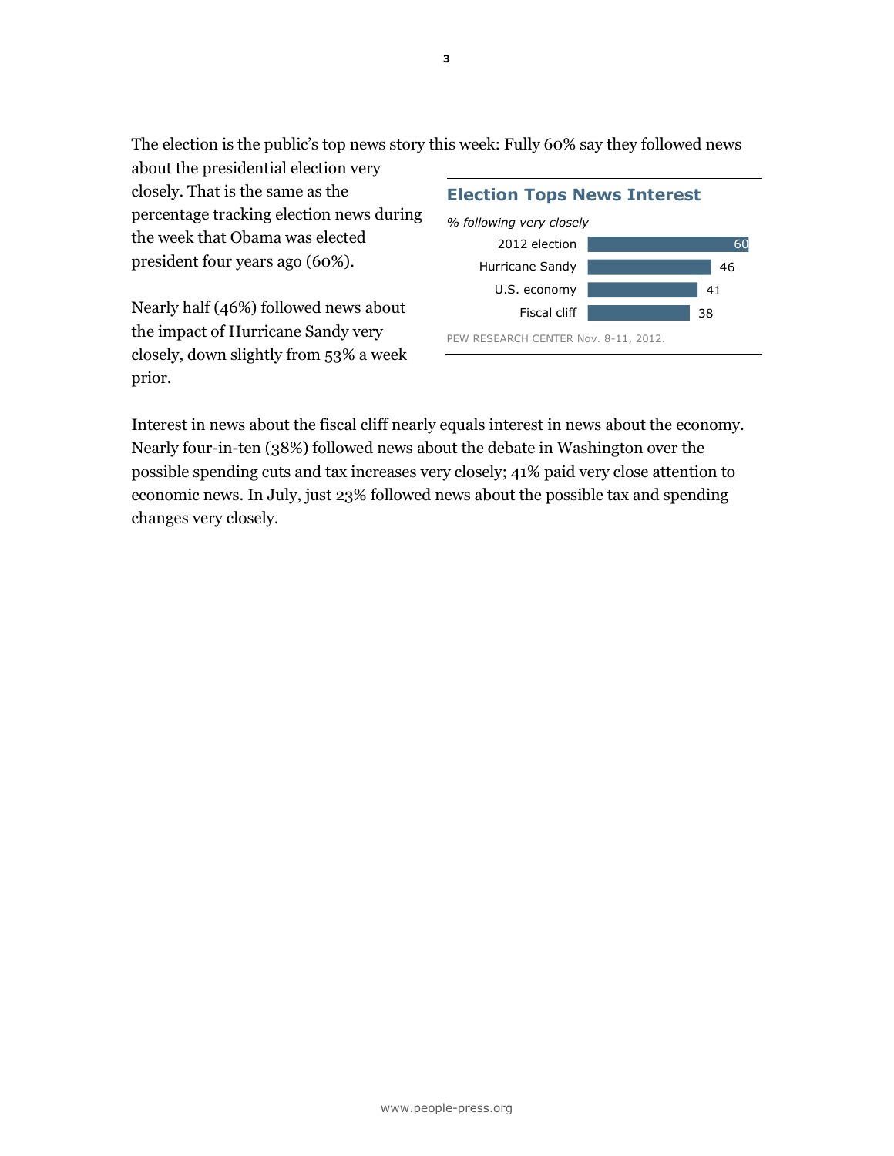The election is the public's top news story this week: Fully 60% say they followed news about the presidential election very

closely. That is the same as the percentage tracking election news during the week that Obama was elected president four years ago (60%).

Nearly half (46%) followed news about the impact of Hurricane Sandy very closely, down slightly from 53% a week prior.

#### 38 41 46 60 Fiscal cliff U.S. economy Hurricane Sandy 2012 election **Election Tops News Interest** *% following very closely*

PEW RESEARCH CENTER Nov. 8-11, 2012.

Interest in news about the fiscal cliff nearly equals interest in news about the economy. Nearly four-in-ten (38%) followed news about the debate in Washington over the possible spending cuts and tax increases very closely; 41% paid very close attention to economic news. In July, just 23% followed news about the possible tax and spending changes very closely.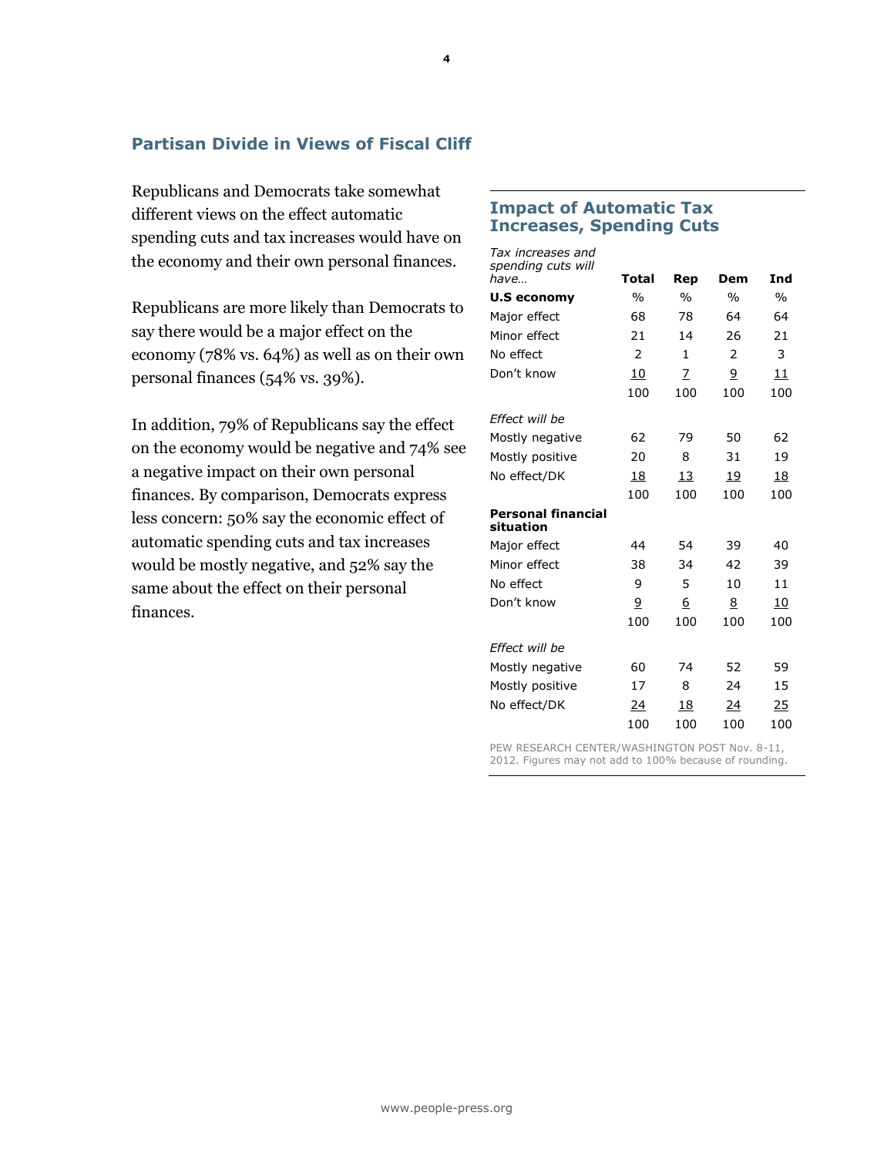## **Partisan Divide in Views of Fiscal Cliff**

Republicans and Democrats take somewhat different views on the effect automatic spending cuts and tax increases would have on the economy and their own personal finances.

Republicans are more likely than Democrats to say there would be a major effect on the economy (78% vs. 64%) as well as on their own personal finances (54% vs. 39%).

In addition, 79% of Republicans say the effect on the economy would be negative and 74% see a negative impact on their own personal finances. By comparison, Democrats express less concern: 50% say the economic effect of automatic spending cuts and tax increases would be mostly negative, and 52% say the same about the effect on their personal finances.

### **Impact of Automatic Tax Increases, Spending Cuts**

| Tax increases and<br>spending cuts will<br>have | <b>Total</b>   | Rep           | Dem            | Ind           |
|-------------------------------------------------|----------------|---------------|----------------|---------------|
| <b>U.S economy</b>                              | $\frac{0}{0}$  | $\frac{0}{0}$ | $\frac{0}{0}$  | $\frac{0}{0}$ |
| Major effect                                    | 68             | 78            | 64             | 64            |
| Minor effect                                    | 21             | 14            | 26             | 21            |
| No effect                                       | $\overline{2}$ | $\mathbf{1}$  | $\overline{2}$ | 3             |
| Don't know                                      | 10             | 7             | 9              | 11            |
|                                                 | 100            | 100           | 100            | 100           |
| Effect will be                                  |                |               |                |               |
| Mostly negative                                 | 62             | 79            | 50             | 62            |
| Mostly positive                                 | 20             | 8             | 31             | 19            |
| No effect/DK                                    | 18             | 13            | 19             | 18            |
|                                                 | 100            | 100           | 100            | 100           |
| <b>Personal financial</b><br>situation          |                |               |                |               |
| Major effect                                    | 44             | 54            | 39             | 40            |
| Minor effect                                    | 38             | 34            | 42             | 39            |
| No effect                                       | 9              | 5             | 10             | 11            |
| Don't know                                      | 9              | 6             | 8              | 10            |
|                                                 | 100            | 100           | 100            | 100           |
| Effect will be                                  |                |               |                |               |
| Mostly negative                                 | 60             | 74            | 52             | 59            |
| Mostly positive                                 | 17             | 8             | 24             | 15            |
| No effect/DK                                    | 24             | 18            | 24             | 25            |
|                                                 | 100            | 100           | 100            | 100           |

PEW RESEARCH CENTER/WASHINGTON POST Nov. 8-11, 2012. Figures may not add to 100% because of rounding.